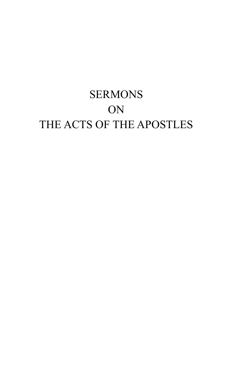## **SERMONS ON** THE ACTS OF THE APOSTLES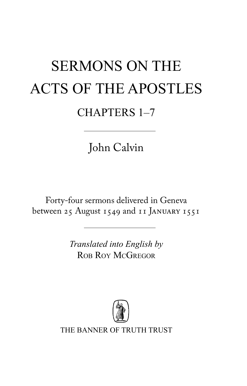# sermons on the acts of the apostles Chapters 1–7

John Calvin

Forty-four sermons delivered in Geneva between 25 August 1549 and 11 January 1551

> *Translated into English by* ROB ROY MCGREGOR



THE BANNER OF TRUTH TRUST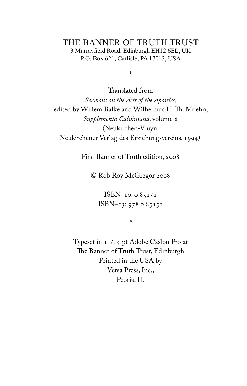#### the banner of truth trust 3 Murrayfield Road, Edinburgh EH12 6EL, UK P.O. Box 621, Carlisle, PA 17013, USA

\*

Translated from *Sermons on the Acts of the Apostles,*  edited by Willem Balke and Wilhelmus H. Th. Moehn, *Supplementa Calviniana*, volume 8 (Neukirchen-Vluyn: Neukirchener Verlag des Erziehungsvereins, 1994).

First Banner of Truth edition, 2008

© Rob Roy McGregor 2008

ISBN–10: 0 85151 ISBN–13: 978 0 85151

\*

Typeset in 11/15 pt Adobe Caslon Pro at The Banner of Truth Trust, Edinburgh Printed in the USA by Versa Press, Inc., Peoria, IL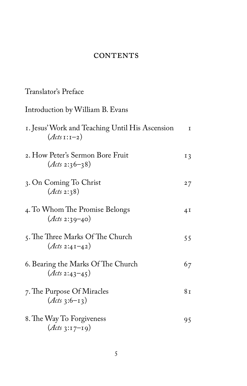#### **CONTENTS**

#### Translator's Preface

### Introduction by William B. Evans 1. Jesus' Work and Teaching Until His Ascension 1 (*Acts* 1:1–2) 2. How Peter's Sermon Bore Fruit 13 (*Acts* 2:36–38) 3. On Coming To Christ 27 (*Acts* 2:38) 4. To Whom The Promise Belongs 41 (*Acts* 2:39–40) 5. The Three Marks Of The Church 55 (*Acts* 2:41–42) 6. Bearing the Marks Of The Church 67 (*Acts* 2:43–45) 7. The Purpose Of Miracles 81  $(Acts_3:6-13)$ 8. The Way To Forgiveness 95 (*Acts* 3:17–19)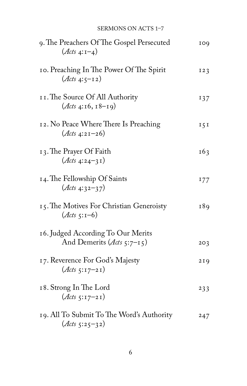#### SERMONS ON ACTS 1-7

| 9. The Preachers Of The Gospel Persecuted<br>$(Ats 4:1-4)$               | 109     |
|--------------------------------------------------------------------------|---------|
| 10. Preaching In The Power Of The Spirit<br>$(Ats 4:5-12)$               | 123     |
| II. The Source Of All Authority<br>$(\text{Atts } 4:16, 18-19)$          | 137     |
| 12. No Peace Where There Is Preaching<br>$(Ats 4:21-26)$                 | $I\,5I$ |
| 13. The Prayer Of Faith<br>$(Ats 4:24-31)$                               | 163     |
| 14. The Fellowship Of Saints<br>$(Ats 4:32-37)$                          | 177     |
| 15. The Motives For Christian Generoisty<br>$(Ats 5:1-6)$                | 189     |
| 16. Judged According To Our Merits<br>And Demerits ( <i>Acts</i> 5:7-15) | 203     |
| 17. Reverence For God's Majesty<br>$(Ats 5:17-21)$                       | 219     |
| 18. Strong In The Lord<br>$(Ats 5:17-21)$                                | 233     |
| 19. All To Submit To The Word's Authority<br>$(Ats 5:25-32)$             | 247     |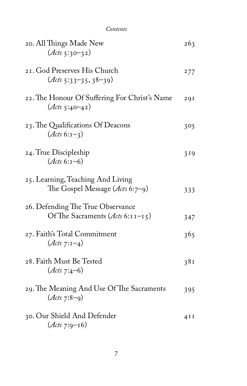| Contents                                                                       |     |
|--------------------------------------------------------------------------------|-----|
| 20. All Things Made New<br>$(Ats 5:30-32)$                                     | 263 |
| 21. God Preserves His Church<br>$(\text{Atts } 5:33-35, 38-39)$                | 277 |
| 22. The Honour Of Suffering For Christ's Name<br>$(Ats 5:40-42)$               | 291 |
| 23. The Qualifications Of Deacons<br>$(Ats 6:1-3)$                             | 305 |
| 24. True Discipleship<br>$(Ats 6:1-6)$                                         | 319 |
| 25. Learning, Teaching And Living<br>The Gospel Message $(\text{Atts } 6:7-9)$ | 333 |
| 26. Defending The True Observance<br>Of The Sacraments (Acts 6:11-15)          | 347 |
| 27. Faith's Total Commitment<br>$(Ats 7:1-4)$                                  | 365 |
| 28. Faith Must Be Tested<br>$(Ats 7:4-6)$                                      | 381 |
| 29. The Meaning And Use Of The Sacraments<br>$(Ats 7:8-9)$                     | 395 |
| 30. Our Shield And Defender<br>$(Ats 7:9-16)$                                  | 4II |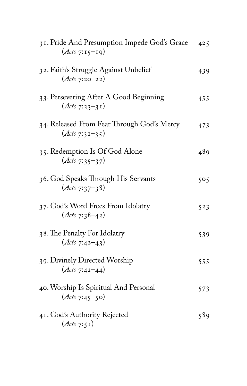| 31. Pride And Presumption Impede God's Grace<br>$(Ats 7:15-19)$ | 425 |
|-----------------------------------------------------------------|-----|
| 32. Faith's Struggle Against Unbelief<br>$(Ats 7:20-22)$        | 439 |
| 33. Persevering After A Good Beginning<br>$(Ats 7:23-31)$       | 455 |
| 34. Released From Fear Through God's Mercy<br>$(Ats 7:31-35)$   | 473 |
| 35. Redemption Is Of God Alone<br>$(Ats 7:35-37)$               | 489 |
| 36. God Speaks Through His Servants<br>$(Ats 7:37-38)$          | 505 |
| 37. God's Word Frees From Idolatry<br>$(Ats 7:38-42)$           | 523 |
| 38. The Penalty For Idolatry<br>$(Ats 7:42-43)$                 | 539 |
| 39. Divinely Directed Worship<br>$(Ats 7:42-44)$                | 555 |
| 40. Worship Is Spiritual And Personal<br>$(Ats 7:45-50)$        | 573 |
| 41. God's Authority Rejected<br>$(\mathcal{A}cts 7:51)$         | 589 |